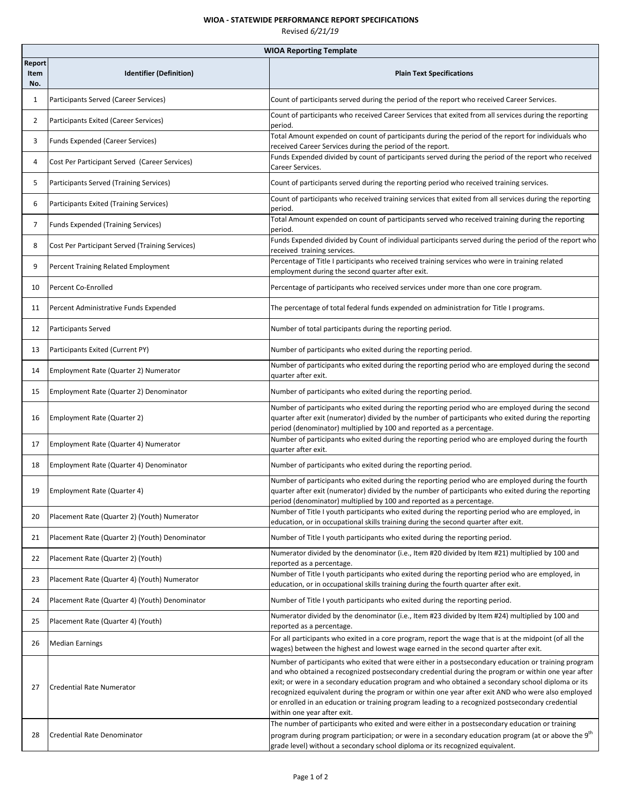## **WIOA ‐ STATEWIDE PERFORMANCE REPORT SPECIFICATIONS**

| Revised 6/21/19 |  |
|-----------------|--|
|-----------------|--|

|                       | <b>WIOA Reporting Template</b>                  |                                                                                                                                                                                                                                                                                                                                                                                                                                                                                                                                                        |  |
|-----------------------|-------------------------------------------------|--------------------------------------------------------------------------------------------------------------------------------------------------------------------------------------------------------------------------------------------------------------------------------------------------------------------------------------------------------------------------------------------------------------------------------------------------------------------------------------------------------------------------------------------------------|--|
| Report<br>Item<br>No. | <b>Identifier (Definition)</b>                  | <b>Plain Text Specifications</b>                                                                                                                                                                                                                                                                                                                                                                                                                                                                                                                       |  |
| $\mathbf{1}$          | Participants Served (Career Services)           | Count of participants served during the period of the report who received Career Services.                                                                                                                                                                                                                                                                                                                                                                                                                                                             |  |
| $\overline{2}$        | Participants Exited (Career Services)           | Count of participants who received Career Services that exited from all services during the reporting<br>period.                                                                                                                                                                                                                                                                                                                                                                                                                                       |  |
| 3                     | Funds Expended (Career Services)                | Total Amount expended on count of participants during the period of the report for individuals who<br>received Career Services during the period of the report.                                                                                                                                                                                                                                                                                                                                                                                        |  |
| 4                     | Cost Per Participant Served (Career Services)   | Funds Expended divided by count of participants served during the period of the report who received<br>Career Services.                                                                                                                                                                                                                                                                                                                                                                                                                                |  |
| 5                     | Participants Served (Training Services)         | Count of participants served during the reporting period who received training services.                                                                                                                                                                                                                                                                                                                                                                                                                                                               |  |
| 6                     | Participants Exited (Training Services)         | Count of participants who received training services that exited from all services during the reporting<br>period.                                                                                                                                                                                                                                                                                                                                                                                                                                     |  |
| 7                     | Funds Expended (Training Services)              | Total Amount expended on count of participants served who received training during the reporting<br>period.                                                                                                                                                                                                                                                                                                                                                                                                                                            |  |
| 8                     | Cost Per Participant Served (Training Services) | Funds Expended divided by Count of individual participants served during the period of the report who<br>received training services.                                                                                                                                                                                                                                                                                                                                                                                                                   |  |
| 9                     | Percent Training Related Employment             | Percentage of Title I participants who received training services who were in training related<br>employment during the second quarter after exit.                                                                                                                                                                                                                                                                                                                                                                                                     |  |
| 10                    | Percent Co-Enrolled                             | Percentage of participants who received services under more than one core program.                                                                                                                                                                                                                                                                                                                                                                                                                                                                     |  |
| 11                    | Percent Administrative Funds Expended           | The percentage of total federal funds expended on administration for Title I programs.                                                                                                                                                                                                                                                                                                                                                                                                                                                                 |  |
| 12                    | Participants Served                             | Number of total participants during the reporting period.                                                                                                                                                                                                                                                                                                                                                                                                                                                                                              |  |
| 13                    | Participants Exited (Current PY)                | Number of participants who exited during the reporting period.                                                                                                                                                                                                                                                                                                                                                                                                                                                                                         |  |
| 14                    | Employment Rate (Quarter 2) Numerator           | Number of participants who exited during the reporting period who are employed during the second<br>quarter after exit.                                                                                                                                                                                                                                                                                                                                                                                                                                |  |
| 15                    | Employment Rate (Quarter 2) Denominator         | Number of participants who exited during the reporting period.                                                                                                                                                                                                                                                                                                                                                                                                                                                                                         |  |
| 16                    | Employment Rate (Quarter 2)                     | Number of participants who exited during the reporting period who are employed during the second<br>quarter after exit (numerator) divided by the number of participants who exited during the reporting<br>period (denominator) multiplied by 100 and reported as a percentage.                                                                                                                                                                                                                                                                       |  |
| 17                    | Employment Rate (Quarter 4) Numerator           | Number of participants who exited during the reporting period who are employed during the fourth<br>quarter after exit.                                                                                                                                                                                                                                                                                                                                                                                                                                |  |
| 18                    | Employment Rate (Quarter 4) Denominator         | Number of participants who exited during the reporting period.                                                                                                                                                                                                                                                                                                                                                                                                                                                                                         |  |
| 19                    | Employment Rate (Quarter 4)                     | Number of participants who exited during the reporting period who are employed during the fourth<br>quarter after exit (numerator) divided by the number of participants who exited during the reporting<br>period (denominator) multiplied by 100 and reported as a percentage.                                                                                                                                                                                                                                                                       |  |
| 20                    | Placement Rate (Quarter 2) (Youth) Numerator    | Number of Title I youth participants who exited during the reporting period who are employed, in<br>education, or in occupational skills training during the second quarter after exit.                                                                                                                                                                                                                                                                                                                                                                |  |
| 21                    | Placement Rate (Quarter 2) (Youth) Denominator  | Number of Title I youth participants who exited during the reporting period.                                                                                                                                                                                                                                                                                                                                                                                                                                                                           |  |
| 22                    | Placement Rate (Quarter 2) (Youth)              | Numerator divided by the denominator (i.e., Item #20 divided by Item #21) multiplied by 100 and<br>reported as a percentage.                                                                                                                                                                                                                                                                                                                                                                                                                           |  |
| 23                    | Placement Rate (Quarter 4) (Youth) Numerator    | Number of Title I youth participants who exited during the reporting period who are employed, in<br>education, or in occupational skills training during the fourth quarter after exit.                                                                                                                                                                                                                                                                                                                                                                |  |
| 24                    | Placement Rate (Quarter 4) (Youth) Denominator  | Number of Title I youth participants who exited during the reporting period.                                                                                                                                                                                                                                                                                                                                                                                                                                                                           |  |
| 25                    | Placement Rate (Quarter 4) (Youth)              | Numerator divided by the denominator (i.e., Item #23 divided by Item #24) multiplied by 100 and<br>reported as a percentage.                                                                                                                                                                                                                                                                                                                                                                                                                           |  |
| 26                    | <b>Median Earnings</b>                          | For all participants who exited in a core program, report the wage that is at the midpoint (of all the<br>wages) between the highest and lowest wage earned in the second quarter after exit.                                                                                                                                                                                                                                                                                                                                                          |  |
| 27                    | <b>Credential Rate Numerator</b>                | Number of participants who exited that were either in a postsecondary education or training program<br>and who obtained a recognized postsecondary credential during the program or within one year after<br>exit; or were in a secondary education program and who obtained a secondary school diploma or its<br>recognized equivalent during the program or within one year after exit AND who were also employed<br>or enrolled in an education or training program leading to a recognized postsecondary credential<br>within one year after exit. |  |
| 28                    | Credential Rate Denominator                     | The number of participants who exited and were either in a postsecondary education or training<br>program during program participation; or were in a secondary education program (at or above the 9 <sup>th</sup><br>grade level) without a secondary school diploma or its recognized equivalent.                                                                                                                                                                                                                                                     |  |